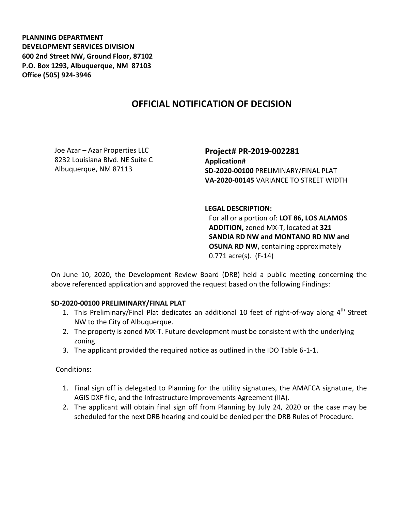**PLANNING DEPARTMENT DEVELOPMENT SERVICES DIVISION 600 2nd Street NW, Ground Floor, 87102 P.O. Box 1293, Albuquerque, NM 87103 Office (505) 924-3946** 

## **OFFICIAL NOTIFICATION OF DECISION**

Joe Azar – Azar Properties LLC 8232 Louisiana Blvd. NE Suite C Albuquerque, NM 87113

**Project# PR-2019-002281 Application# SD-2020-00100** PRELIMINARY/FINAL PLAT **VA-2020-00145** VARIANCE TO STREET WIDTH

## **LEGAL DESCRIPTION:**

For all or a portion of: **LOT 86, LOS ALAMOS ADDITION,** zoned MX-T, located at **321 SANDIA RD NW and MONTANO RD NW and OSUNA RD NW,** containing approximately 0.771 acre(s). (F-14)

On June 10, 2020, the Development Review Board (DRB) held a public meeting concerning the above referenced application and approved the request based on the following Findings:

## **SD-2020-00100 PRELIMINARY/FINAL PLAT**

- 1. This Preliminary/Final Plat dedicates an additional 10 feet of right-of-way along  $4^{\text{th}}$  Street NW to the City of Albuquerque.
- 2. The property is zoned MX-T. Future development must be consistent with the underlying zoning.
- 3. The applicant provided the required notice as outlined in the IDO Table 6-1-1.

Conditions:

- 1. Final sign off is delegated to Planning for the utility signatures, the AMAFCA signature, the AGIS DXF file, and the Infrastructure Improvements Agreement (IIA).
- 2. The applicant will obtain final sign off from Planning by July 24, 2020 or the case may be scheduled for the next DRB hearing and could be denied per the DRB Rules of Procedure.